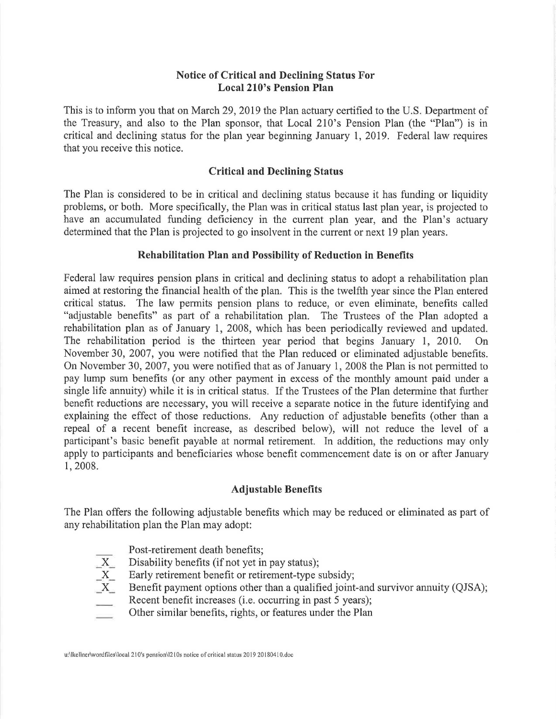## **Notice of Critical and Declining Status For Local 210's Pension Plan**

This is to inform you that on March 29, 2019 the Plan actuary certified to the U.S. Department of the Treasury, and also to the Plan sponsor, that Local 210's Pension Plan (the "Plan") is in critical and declining status for the plan year beginning January 1, 2019. Federal law requires that you receive this notice.

#### **Critical and Declining Status**

The Plan is considered to be in critical and declining status because it has funding or liquidity problems, or both. More specifically, the Plan was in critical status last plan year, is projected to have an accumulated funding deficiency in the current plan year, and the Plan's actuary determined that the Plan is projected to go insolvent in the current or next 19 plan years.

### **Rehabilitation Plan and Possibility of Reduction in Benefits**

Federal law requires pension plans in critical and declining status to adopt a rehabilitation plan aimed at restoring the financial health of the plan. This is the twelfth year since the Plan entered critical status. The law permits pension plans to reduce, or even eliminate, benefits called "adjustable benefits" as part of a rehabilitation plan. The Trustees of the Plan adopted a rehabilitation plan as of January 1, 2008, which has been periodically reviewed and updated. The rehabilitation period is the thirteen year period that begins January 1, 2010. On November 30, 2007, you were notified that the Plan reduced or eliminated adjustable benefits. On November 30, 2007, you were notified that as of January 1, 2008 the Plan is not permitted to pay lump sum benefits (or any other payment in excess of the monthly amount paid under a single life annuity) while it is in critical status. If the Trustees of the Plan determine that further benefit reductions are necessary, you will receive a separate notice in the future identifying and explaining the effect of those reductions. Any reduction of adjustable benefits (other than a repeal of a recent benefit increase, as described below), will not reduce the level of a participant's basic benefit payable at normal retirement. In addition, the reductions may only apply to participants and beneficiaries whose benefit commencement date is on or after January 1, 2008.

#### **Adjustable Benefits**

The Plan offers the following adjustable benefits which may be reduced or eliminated as part of any rehabilitation plan the Plan may adopt:

- Post-retirement death benefits;
- 
- Early retirement benefit or retirement-type subsidy;
- $\overline{X}$  Disability benefits (if not yet in pay status);<br>  $\overline{X}$  Early retirement benefit or retirement-type s<br>
Benefit payment options other than a qualifi-Benefit payment options other than a qualified joint-and survivor annuity (QJSA);
- Recent benefit increases (i.e. occurring in past 5 years);
- Other similar benefits, rights, or features under the Plan